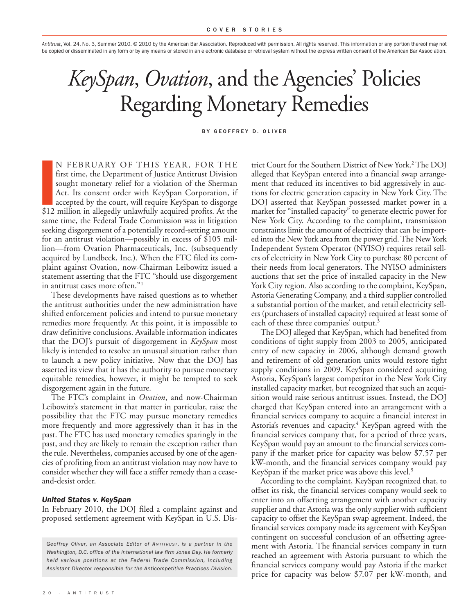*Antitrust*, Vol. 24, No. 3, Summer 2010. © 2010 by the American Bar Association. Reproduced with permission. All rights reserved. This information or any portion thereof may not be copied or disseminated in any form or by any means or stored in an electronic database or retrieval system without the express written consent of the American Bar Association.

# *KeySpan*, *Ovation*, and the Agencies ' Policies Regarding Monetary Remedies

#### BY GEOFFREY D. OLIVER

 $\begin{bmatrix} 1 \\ 1 \\ 2 \\ 3 \\ 4 \end{bmatrix}$ <br>\$12 N FEBRUARY OF THIS YEAR, FOR THE first time, the Department of Justice Antitrust Division sought monetary relief for a violation of the Sherman Act. Its consent order with KeySpan Corporation, if accepted by the court, will require KeySpan to disgorge \$12 million in allegedly unlawfully acquired profits. At the same time, the Federal Trade Commission was in litigation seeking disgorgement of a potentially record-setting amount for an antitrust violation—possibly in excess of \$105 million—from Ovation Pharmaceuticals, Inc. (subsequently acquired by Lundbeck, Inc.). When the FTC filed its complaint against Ovation, now-Chairman Leibowitz issued a statement asserting that the FTC "should use disgorgement in antitrust cases more often."1

These developments have raised questions as to whether the antitrust authorities under the new administration have shifted enforcement policies and intend to pursue monetary remedies more frequently. At this point, it is impossible to draw definitive conclusions. Available information indicates that the DOJ's pursuit of disgorgement in *KeySpan* most likely is intended to resolve an unusual situation rather than to launch a new policy initiative. Now that the DOJ has asserted its view that it has the authority to pursue monetary equitable remedies, however, it might be tempted to seek disgorgement again in the future.

The FTC's complaint in *Ovation*, and now-Chairman Leibowitz's statement in that matter in particular, raise the possibility that the FTC may pursue monetary remedies more frequently and more aggressively than it has in the past. The FTC has used monetary remedies sparingly in the past, and they are likely to remain the exception rather than the rule. Nevertheless, companies accused by one of the agencies of profiting from an antitrust violation may now have to consider whether they will face a stiffer remedy than a ceaseand-desist order.

#### *United States v. KeySpan*

In February 2010, the DOJ filed a complaint against and proposed settlement agreement with KeySpan in U.S. Dis-

*Geoffrey Oliver, an Associate Editor of ANT I TRUS T , is a partner in the Washington, D.C. office of the international law firm Jones Day. He formerly held various positions at the Federal Trade Commission, including Assistant Director responsible for the Anticompetitive Practices Division.*

trict Court for the Southern District of New York. 2The DOJ alleged that KeySpan entered into a financial swap arrangement that reduced its incentives to bid aggressively in auctions for electric generation capacity in New York City. The DOJ asserted that KeySpan possessed market power in a market for "installed capacity" to generate electric power for New York City. According to the complaint, transmission constraints limit the amount of electricity that can be imported into the New York area from the power grid.The New York Independent System Operator (NYISO) requires retail sellers of electricity in New York City to purchase 80 percent of their needs from local generators. The NYISO administers auctions that set the price of installed capacity in the New York City region. Also according to the complaint, KeySpan, Astoria Generating Company, and a third supplier controlled a substantial portion of the market, and retail electricity sellers (purchasers of installed capacity) required at least some of each of these three companies' output. 3

The DOJ alleged that KeySpan, which had benefited from conditions of tight supply from 2003 to 2005, anticipated entry of new capacity in 2006, although demand growth and retirement of old generation units would restore tight supply conditions in 2009. KeySpan considered acquiring Astoria, KeySpan's largest competitor in the New York City installed capacity market, but recognized that such an acquisition would raise serious antitrust issues. Instead, the DOJ charged that KeySpan entered into an arrangement with a financial services company to acquire a financial interest in Astoria's revenues and capacity. <sup>4</sup> KeySpan agreed with the financial services company that, for a period of three years, KeySpan would pay an amount to the financial services company if the market price for capacity was below \$7.57 per kW-month, and the financial services company would pay KeySpan if the market price was above this level. 5

According to the complaint, KeySpan recognized that, to offset its risk, the financial services company would seek to enter into an offsetting arrangement with another capacity supplier and that Astoria was the only supplier with sufficient capacity to offset the KeySpan swap agreement. Indeed, the financial services company made its agreement with KeySpan contingent on successful conclusion of an offsetting agreement with Astoria. The financial services company in turn reached an agreement with Astoria pursuant to which the financial services company would pay Astoria if the market price for capacity was below \$7.07 per kW-month, and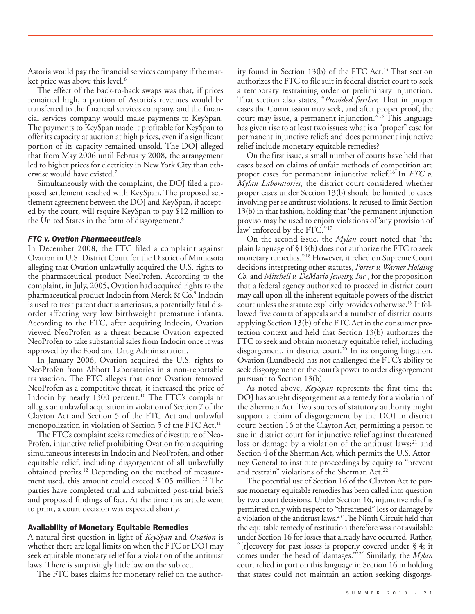Astoria would pay the financial services company if the market price was above this level. 6

The effect of the back-to-back swaps was that, if prices remained high, a portion of Astoria's revenues would be transferred to the financial services company, and the financial services company would make payments to KeySpan. The payments to KeySpan made it profitable for KeySpan to offer its capacity at auction at high prices, even if a significant portion of its capacity remained unsold. The DOJ alleged that from May 2006 until February 2008, the arrangement led to higher prices for electricity in New York City than otherwise would have existed. 7

Simultaneously with the complaint, the DOJ filed a proposed settlement reached with KeySpan. The proposed settlement agreement between the DOJ and KeySpan, if accepted by the court, will require KeySpan to pay \$12 million to the United States in the form of disgorgement. 8

#### *FTC v. Ovation Pharmaceuticals*

In December 2008, the FTC filed a complaint against Ovation in U.S. District Court for the District of Minnesota alleging that Ovation unlawfully acquired the U.S. rights to the pharmaceutical product NeoProfen. According to the complaint, in July, 2005, Ovation had acquired rights to the pharmaceutical product Indocin from Merck & Co. <sup>9</sup> Indocin is used to treat patent ductus arteriosus, a potentially fatal disorder affecting very low birthweight premature infants. According to the FTC, after acquiring Indocin, Ovation viewed NeoProfen as a threat because Ovation expected NeoProfen to take substantial sales from Indocin once it was approved by the Food and Drug Administration.

In January 2006, Ovation acquired the U.S. rights to NeoProfen from Abbott Laboratories in a non-reportable transaction. The FTC alleges that once Ovation removed NeoProfen as a competitive threat, it increased the price of Indocin by nearly 1300 percent. <sup>10</sup> The FTC's complaint alleges an unlawful acquisition in violation of Section 7 of the Clayton Act and Section 5 of the FTC Act and unlawful monopolization in violation of Section 5 of the FTC Act. 11

The FTC's complaint seeks remedies of divestiture of Neo-Profen, injunctive relief prohibiting Ovation from acquiring simultaneous interests in Indocin and NeoProfen, and other equitable relief, including disgorgement of all unlawfully obtained profits. <sup>12</sup> Depending on the method of measurement used, this amount could exceed \$105 million. <sup>13</sup> The parties have completed trial and submitted post-trial briefs and proposed findings of fact. At the time this article went to print, a court decision was expected shortly.

#### **Availability of Monetary Equitable Remedies**

A natural first question in light of *KeySpan* and *Ovation* is whether there are legal limits on when the FTC or DOJ may seek equitable monetary relief for a violation of the antitrust laws. There is surprisingly little law on the subject.

The FTC bases claims for monetary relief on the author-

ity found in Section 13(b) of the FTC Act.<sup>14</sup> That section authorizes the FTC to file suit in federal district court to seek a temporary restraining order or preliminary injunction. That section also states, "*Provided further,* That in proper cases the Commission may seek, and after proper proof, the court may issue, a permanent injunction."<sup>15</sup> This language has given rise to at least two issues: what is a "proper" case for permanent injunctive relief; and does permanent injunctive relief include monetary equitable remedies?

On the first issue, a small number of courts have held that cases based on claims of unfair methods of competition are proper cases for permanent injunctive relief. <sup>16</sup> In *FTC v. Mylan Laboratories*, the district court considered whether proper cases under Section 13(b) should be limited to cases involving per se antitrust violations. It refused to limit Section 13(b) in that fashion, holding that "the permanent injunction proviso may be used to enjoin violations of 'any provision of law' enforced by the FTC."<sup>17</sup>

On the second issue, the *Mylan* court noted that "the plain language of §13(b) does not authorize the FTC to seek monetary remedies."18 However, it relied on Supreme Court decisions interpreting other statutes, *Porter v.Warner Holding Co.* and *Mitchell v. DeMario Jewelry, Inc.*, for the proposition that a federal agency authorized to proceed in district court may call upon all the inherent equitable powers of the district court unless the statute explicitly provides otherwise. <sup>19</sup> It followed five courts of appeals and a number of district courts applying Section 13(b) of the FTC Act in the consumer protection context and held that Section 13(b) authorizes the FTC to seek and obtain monetary equitable relief, including disgorgement, in district court. <sup>20</sup> In its ongoing litigation, Ovation (Lundbeck) has not challenged the FTC's ability to seek disgorgement or the court's power to order disgorgement pursuant to Section 13(b).

As noted above, *KeySpan* represents the first time the DOJ has sought disgorgement as a remedy for a violation of the Sherman Act. Two sources of statutory authority might support a claim of disgorgement by the DOJ in district court: Section 16 of the Clayton Act, permitting a person to sue in district court for injunctive relief against threatened loss or damage by a violation of the antitrust laws;<sup>21</sup> and Section 4 of the Sherman Act, which permits the U.S. Attorney General to institute proceedings by equity to "prevent and restrain" violations of the Sherman Act. 22

The potential use of Section 16 of the Clayton Act to pursue monetary equitable remedies has been called into question by two court decisions. Under Section 16, injunctive relief is permitted only with respect to "threatened" loss or damage by a violation of the antitrust laws. 23The Ninth Circuit held that the equitable remedy of restitution therefore was not available under Section 16 for losses that already have occurred. Rather, "[r]ecovery for past losses is properly covered under § 4; it comes under the head of 'damages.'"24 Similarly, the *Mylan* court relied in part on this language in Section 16 in holding that states could not maintain an action seeking disgorge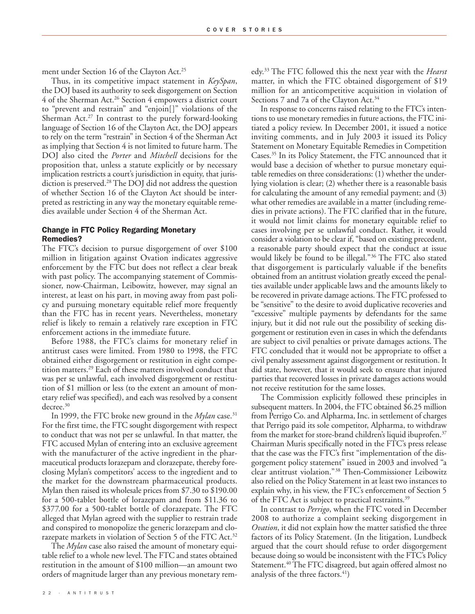ment under Section 16 of the Clayton Act. 25

Thus, in its competitive impact statement in *KeySpan*, the DOJ based its authority to seek disgorgement on Section 4 of the Sherman Act. <sup>26</sup> Section 4 empowers a district court to "prevent and restrain" and "enjoin[]" violations of the Sherman Act. <sup>27</sup> In contrast to the purely forward-looking language of Section 16 of the Clayton Act, the DOJ appears to rely on the term "restrain" in Section 4 of the Sherman Act as implying that Section 4 is not limited to future harm. The DOJ also cited the *Porter* and *Mitchell* decisions for the proposition that, unless a statute explicitly or by necessary implication restricts a court's jurisdiction in equity, that jurisdiction is preserved. <sup>28</sup> The DOJ did not address the question of whether Section 16 of the Clayton Act should be interpreted as restricting in any way the monetary equitable remedies available under Section 4 of the Sherman Act.

### **Change in FTC Policy Regarding Monetary Remedies?**

The FTC's decision to pursue disgorgement of over \$100 million in litigation against Ovation indicates aggressive enforcement by the FTC but does not reflect a clear break with past policy. The accompanying statement of Commissioner, now-Chairman, Leibowitz, however, may signal an interest, at least on his part, in moving away from past policy and pursuing monetary equitable relief more frequently than the FTC has in recent years. Nevertheless, monetary relief is likely to remain a relatively rare exception in FTC enforcement actions in the immediate future.

Before 1988, the FTC's claims for monetary relief in antitrust cases were limited. From 1980 to 1998, the FTC obtained either disgorgement or restitution in eight competition matters. <sup>29</sup> Each of these matters involved conduct that was per se unlawful, each involved disgorgement or restitution of \$1 million or less (to the extent an amount of monetary relief was specified), and each was resolved by a consent decree. 30

In 1999, the FTC broke new ground in the *Mylan* case. 31 For the first time, the FTC sought disgorgement with respect to conduct that was not per se unlawful. In that matter, the FTC accused Mylan of entering into an exclusive agreement with the manufacturer of the active ingredient in the pharmaceutical products lorazepam and clorazepate, thereby foreclosing Mylan's competitors' access to the ingredient and to the market for the downstream pharmaceutical products. Mylan then raised its wholesale prices from \$7.30 to \$190.00 for a 500-tablet bottle of lorazepam and from \$11.36 to \$377.00 for a 500-tablet bottle of clorazepate. The FTC alleged that Mylan agreed with the supplier to restrain trade and conspired to monopolize the generic lorazepam and clorazepate markets in violation of Section 5 of the FTC Act.<sup>32</sup>

The *Mylan* case also raised the amount of monetary equitable relief to a whole new level.The FTC and states obtained restitution in the amount of \$100 million—an amount two orders of magnitude larger than any previous monetary remedy. <sup>33</sup> The FTC followed this the next year with the *Hearst* matter, in which the FTC obtained disgorgement of \$19 million for an anticompetitive acquisition in violation of Sections 7 and 7a of the Clayton Act. 34

In response to concerns raised relating to the FTC's intentions to use monetary remedies in future actions, the FTC initiated a policy review. In December 2001, it issued a notice inviting comments, and in July 2003 it issued its Policy Statement on Monetary Equitable Remedies in Competition Cases. <sup>35</sup> In its Policy Statement, the FTC announced that it would base a decision of whether to pursue monetary equitable remedies on three considerations: (1) whether the underlying violation is clear; (2) whether there is a reasonable basis for calculating the amount of any remedial payment; and (3) what other remedies are available in a matter (including remedies in private actions). The FTC clarified that in the future, it would not limit claims for monetary equitable relief to cases involving per se unlawful conduct. Rather, it would consider a violation to be clear if, "based on existing precedent, a reasonable party should expect that the conduct at issue would likely be found to be illegal."36 The FTC also stated that disgorgement is particularly valuable if the benefits obtained from an antitrust violation greatly exceed the penalties available under applicable laws and the amounts likely to be recovered in private damage actions. The FTC professed to be "sensitive" to the desire to avoid duplicative recoveries and "excessive" multiple payments by defendants for the same injury, but it did not rule out the possibility of seeking disgorgement or restitution even in cases in which the defendants are subject to civil penalties or private damages actions. The FTC concluded that it would not be appropriate to offset a civil penalty assessment against disgorgement or restitution. It did state, however, that it would seek to ensure that injured parties that recovered losses in private damages actions would not receive restitution for the same losses.

The Commission explicitly followed these principles in subsequent matters. In 2004, the FTC obtained \$6.25 million from Perrigo Co. and Alpharma, Inc. in settlement of charges that Perrigo paid its sole competitor, Alpharma, to withdraw from the market for store-brand children's liquid ibuprofen. 37 Chairman Muris specifically noted in the FTC's press release that the case was the FTC's first "implementation of the disgorgement policy statement" issued in 2003 and involved "a clear antitrust violation."38 Then-Commissioner Leibowitz also relied on the Policy Statement in at least two instances to explain why, in his view, the FTC's enforcement of Section 5 of the FTC Act is subject to practical restraints.<sup>39</sup>

In contrast to *Perrigo*, when the FTC voted in December 2008 to authorize a complaint seeking disgorgement in *Ovation*, it did not explain how the matter satisfied the three factors of its Policy Statement. (In the litigation, Lundbeck argued that the court should refuse to order disgorgement because doing so would be inconsistent with the FTC's Policy Statement. 40The FTC disagreed, but again offered almost no analysis of the three factors. 41 )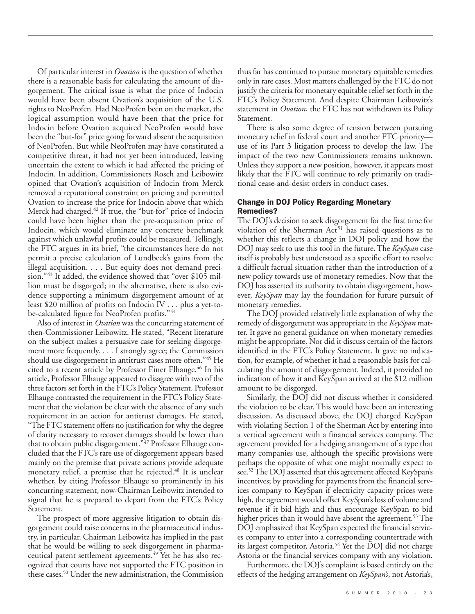Of particular interest in *Ovation* is the question of whether there is a reasonable basis for calculating the amount of disgorgement. The critical issue is what the price of Indocin would have been absent Ovation's acquisition of the U.S. rights to NeoProfen. Had NeoProfen been on the market, the logical assumption would have been that the price for Indocin before Ovation acquired NeoProfen would have been the "but-for" price going forward absent the acquisition of NeoProfen. But while NeoProfen may have constituted a competitive threat, it had not yet been introduced, leaving uncertain the extent to which it had affected the pricing of Indocin. In addition, Commissioners Rosch and Leibowitz opined that Ovation's acquisition of Indocin from Merck removed a reputational constraint on pricing and permitted Ovation to increase the price for Indocin above that which Merck had charged. <sup>42</sup> If true, the "but-for" price of Indocin could have been higher than the pre-acquisition price of Indocin, which would eliminate any concrete benchmark against which unlawful profits could be measured. Tellingly, the FTC argues in its brief, "the circumstances here do not permit a precise calculation of Lundbeck's gains from the illegal acquisition. . . . But equity does not demand precision."<sup>43</sup> It added, the evidence showed that "over \$105 million must be disgorged; in the alternative, there is also evidence supporting a minimum disgorgement amount of at least \$20 million of profits on Indocin IV . . . plus a yet-tobe-calculated figure for NeoProfen profits."44

Also of interest in *Ovation* was the concurring statement of then-Commissioner Leibowitz. He stated, "Recent literature on the subject makes a persuasive case for seeking disgorgement more frequently. . . . I strongly agree; the Commission should use disgorgement in antitrust cases more often."45 He cited to a recent article by Professor Einer Elhauge. <sup>46</sup> In his article, Professor Elhauge appeared to disagree with two of the three factors set forth in the FTC's Policy Statement. Professor Elhauge contrasted the requirement in the FTC's Policy Statement that the violation be clear with the absence of any such requirement in an action for antitrust damages. He stated, "The FTC statement offers no justification for why the degree of clarity necessary to recover damages should be lower than that to obtain public disgorgement."<sup>47</sup> Professor Elhauge concluded that the FTC's rare use of disgorgement appears based mainly on the premise that private actions provide adequate monetary relief, a premise that he rejected. <sup>48</sup> It is unclear whether, by citing Professor Elhauge so prominently in his concurring statement, now-Chairman Leibowitz intended to signal that he is prepared to depart from the FTC's Policy Statement.

The prospect of more aggressive litigation to obtain disgorgement could raise concerns in the pharmaceutical industry, in particular. Chairman Leibowitz has implied in the past that he would be willing to seek disgorgement in pharmaceutical patent settlement agreements. <sup>49</sup> Yet he has also recognized that courts have not supported the FTC position in these cases. <sup>50</sup> Under the new administration, the Commission thus far has continued to pursue monetary equitable remedies only in rare cases. Most matters challenged by the FTC do not justify the criteria for monetary equitable relief set forth in the FTC's Policy Statement. And despite Chairman Leibowitz's statement in *Ovation*, the FTC has not withdrawn its Policy Statement.

There is also some degree of tension between pursuing monetary relief in federal court and another FTC priority use of its Part 3 litigation process to develop the law. The impact of the two new Commissioners remains unknown. Unless they support a new position, however, it appears most likely that the FTC will continue to rely primarily on traditional cease-and-desist orders in conduct cases.

## **Change in DOJ Policy Regarding Monetary Remedies?**

The DOJ's decision to seek disgorgement for the first time for violation of the Sherman  $Act<sup>51</sup>$  has raised questions as to whether this reflects a change in DOJ policy and how the DOJ may seek to use this tool in the future.The *KeySpan* case itself is probably best understood as a specific effort to resolve a difficult factual situation rather than the introduction of a new policy towards use of monetary remedies. Now that the DOJ has asserted its authority to obtain disgorgement, however, *KeySpan* may lay the foundation for future pursuit of monetary remedies.

The DOJ provided relatively little explanation of why the remedy of disgorgement was appropriate in the *KeySpan* matter. It gave no general guidance on when monetary remedies might be appropriate. Nor did it discuss certain of the factors identified in the FTC's Policy Statement. It gave no indication, for example, of whether it had a reasonable basis for calculating the amount of disgorgement. Indeed, it provided no indication of how it and KeySpan arrived at the \$12 million amount to be disgorged.

Similarly, the DOJ did not discuss whether it considered the violation to be clear. This would have been an interesting discussion. As discussed above, the DOJ charged KeySpan with violating Section 1 of the Sherman Act by entering into a vertical agreement with a financial services company. The agreement provided for a hedging arrangement of a type that many companies use, although the specific provisions were perhaps the opposite of what one might normally expect to see. 52The DOJ asserted that this agreement affected KeySpan's incentives; by providing for payments from the financial services company to KeySpan if electricity capacity prices were high, the agreement would offset KeySpan's loss of volume and revenue if it bid high and thus encourage KeySpan to bid higher prices than it would have absent the agreement. <sup>53</sup> The DOJ emphasized that KeySpan expected the financial services company to enter into a corresponding countertrade with its largest competitor, Astoria. <sup>54</sup> Yet the DOJ did not charge Astoria or the financial services company with any violation.

Furthermore, the DOJ's complaint is based entirely on the effects of the hedging arrangement on *KeySpan's*, not Astoria's,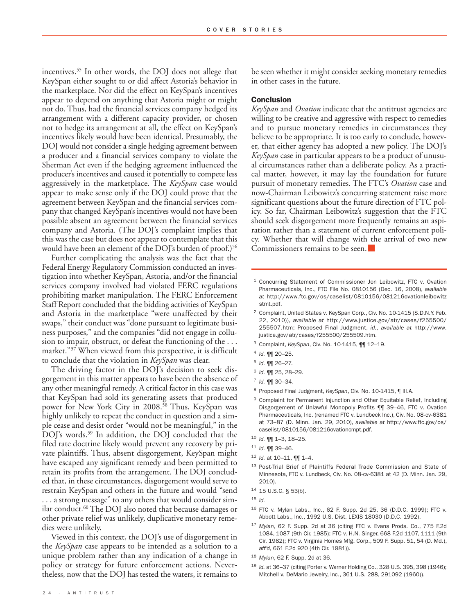incentives. <sup>55</sup> In other words, the DOJ does not allege that KeySpan either sought to or did affect Astoria's behavior in the marketplace. Nor did the effect on KeySpan's incentives appear to depend on anything that Astoria might or might not do. Thus, had the financial services company hedged its arrangement with a different capacity provider, or chosen not to hedge its arrangement at all, the effect on KeySpan's incentives likely would have been identical. Presumably, the DOJ would not consider a single hedging agreement between a producer and a financial services company to violate the Sherman Act even if the hedging agreement influenced the producer's incentives and caused it potentially to compete less aggressively in the marketplace. The *KeySpan* case would appear to make sense only if the DOJ could prove that the agreement between KeySpan and the financial services company that changed KeySpan's incentives would not have been possible absent an agreement between the financial services company and Astoria. (The DOJ's complaint implies that this was the case but does not appear to contemplate that this would have been an element of the DOJ's burden of proof.) 56

Further complicating the analysis was the fact that the Federal Energy Regulatory Commission conducted an investigation into whether KeySpan, Astoria, and/or the financial services company involved had violated FERC regulations prohibiting market manipulation. The FERC Enforcement Staff Report concluded that the bidding activities of KeySpan and Astoria in the marketplace "were unaffected by their swaps," their conduct was "done pursuant to legitimate business purposes," and the companies "did not engage in collusion to impair, obstruct, or defeat the functioning of the . . . market."57 When viewed from this perspective, it is difficult to conclude that the violation in *KeySpan* was clear.

The driving factor in the DOJ's decision to seek disgorgement in this matter appears to have been the absence of any other meaningful remedy. A critical factor in this case was that KeySpan had sold its generating assets that produced power for New York City in 2008. <sup>58</sup> Thus, KeySpan was highly unlikely to repeat the conduct in question and a simple cease and desist order "would not be meaningful," in the DOJ's words. <sup>59</sup> In addition, the DOJ concluded that the filed rate doctrine likely would prevent any recovery by private plaintiffs. Thus, absent disgorgement, KeySpan might have escaped any significant remedy and been permitted to retain its profits from the arrangement. The DOJ concluded that, in these circumstances, disgorgement would serve to restrain KeySpan and others in the future and would "send . . . a strong message" to any others that would consider similar conduct. <sup>60</sup> The DOJ also noted that because damages or other private relief was unlikely, duplicative monetary remedies were unlikely.

Viewed in this context, the DOJ's use of disgorgement in the *KeySpan* case appears to be intended as a solution to a unique problem rather than any indication of a change in policy or strategy for future enforcement actions. Nevertheless, now that the DOJ has tested the waters, it remains to

be seen whether it might consider seeking monetary remedies in other cases in the future.

#### **Conclusion**

*KeySpan* and *Ovation* indicate that the antitrust agencies are willing to be creative and aggressive with respect to remedies and to pursue monetary remedies in circumstances they believe to be appropriate. It is too early to conclude, however, that either agency has adopted a new policy. The DOJ's *KeySpan* case in particular appears to be a product of unusual circumstances rather than a deliberate policy. As a practical matter, however, it may lay the foundation for future pursuit of monetary remedies. The FTC's *Ovation* case and now-Chairman Leibowitz's concurring statement raise more significant questions about the future direction of FTC policy. So far, Chairman Leibowitz's suggestion that the FTC should seek disgorgement more frequently remains an aspiration rather than a statement of current enforcement policy. Whether that will change with the arrival of two new Commissioners remains to be seen.

<sup>1</sup> Concurring Statement of Commissioner Jon Leibowitz, FTC v. Ovation Pharmaceuticals, Inc., FTC File No. 0810156 (Dec. 16, 2008), *available at* http://www.ftc.gov/os/caselist/0810156/081216ovationleibowitz stmt.pdf.

- <sup>2</sup> Complaint, United States v. KeySpan Corp., Civ. No. 10-1415 (S.D.N.Y. Feb. 22, 2010)), *available at* http://www.justice.gov/atr/cases/f255500/ 255507.htm; Proposed Final Judgment, *id.*, *available at* http://www. justice.gov/atr/cases/f255500/255509.htm.
- <sup>3</sup> Complaint, *KeySpan*, Civ. No. 10-1415, ¶¶ 12–19.
- <sup>4</sup> *Id.* ¶¶ 20–25.
- <sup>5</sup> *Id.* ¶¶ 26–27.
- <sup>6</sup> *Id.* ¶¶ 25, 28–29.
- <sup>7</sup> *Id.* ¶¶ 30–34.
- <sup>8</sup> Proposed Final Judgment, *KeySpan*, Civ. No. 10-1415, ¶ III.A.
- <sup>9</sup> Complaint for Permanent Injunction and Other Equitable Relief, Including Disgorgement of Unlawful Monopoly Profits ¶¶ 39–46, FTC v. Ovation Pharmaceuticals, Inc. (renamed FTC v. Lundbeck Inc.), Civ. No. 08-cv-6381 at 73–87 (D. Minn. Jan. 29, 2010), *available at* http://www.ftc.gov/os/ caselist/0810156/081216ovationcmpt.pdf.
- <sup>10</sup> *Id.* ¶¶ 1–3, 18–25.
- <sup>11</sup> *Id.* ¶¶ 39–46.
- <sup>12</sup> *Id.* at 10–11, ¶¶ 1–4.
- <sup>13</sup> Post-Trial Brief of Plaintiffs Federal Trade Commission and State of Minnesota, FTC v. Lundbeck, Civ. No. 08-cv-6381 at 42 (D. Minn. Jan. 29, 2010).
- <sup>14</sup> 15 U.S.C. § 53(b).
- <sup>15</sup> *Id.*
- <sup>16</sup> FTC v. Mylan Labs., Inc., 62 F. Supp. 2d 25, 36 (D.D.C. 1999); FTC v. Abbott Labs., Inc., 1992 U.S. Dist. LEXIS 18030 (D.D.C. 1992).
- <sup>17</sup> *Mylan*, 62 F. Supp. 2d at 36 (citing FTC v. Evans Prods. Co., 775 F.2d 1084, 1087 (9th Cir. 1985); FTC v. H.N. Singer, 668 F.2d 1107, 1111 (9th Cir. 1982); FTC v. Virginia Homes Mfg. Corp., 509 F. Supp. 51, 54 (D. Md.), *aff'd*, 661 F.2d 920 (4th Cir. 1981)).
- <sup>18</sup> *Mylan*, 62 F. Supp. 2d at 36.
- <sup>19</sup> *Id.* at 36–37 (citing Porter v. Warner Holding Co., 328 U.S. 395, 398 (1946); Mitchell v. DeMario Jewelry, Inc., 361 U.S. 288, 291092 (1960)).